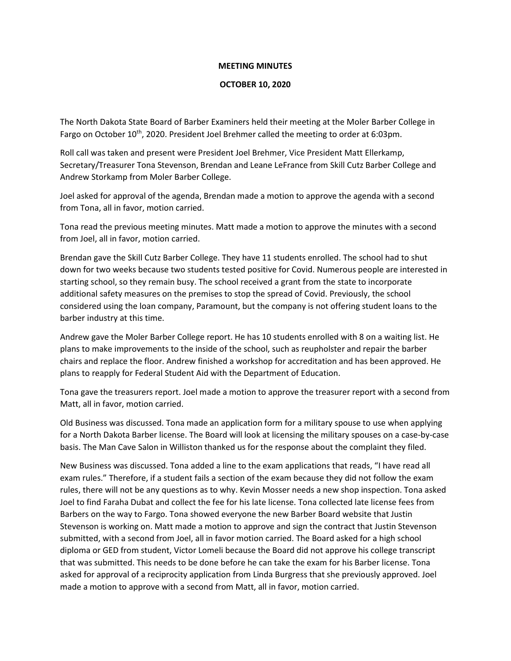## MEETING MINUTES

## OCTOBER 10, 2020

The North Dakota State Board of Barber Examiners held their meeting at the Moler Barber College in Fargo on October 10<sup>th</sup>, 2020. President Joel Brehmer called the meeting to order at 6:03pm.

Roll call was taken and present were President Joel Brehmer, Vice President Matt Ellerkamp, Secretary/Treasurer Tona Stevenson, Brendan and Leane LeFrance from Skill Cutz Barber College and Andrew Storkamp from Moler Barber College.

Joel asked for approval of the agenda, Brendan made a motion to approve the agenda with a second from Tona, all in favor, motion carried.

Tona read the previous meeting minutes. Matt made a motion to approve the minutes with a second from Joel, all in favor, motion carried.

Brendan gave the Skill Cutz Barber College. They have 11 students enrolled. The school had to shut down for two weeks because two students tested positive for Covid. Numerous people are interested in starting school, so they remain busy. The school received a grant from the state to incorporate additional safety measures on the premises to stop the spread of Covid. Previously, the school considered using the loan company, Paramount, but the company is not offering student loans to the barber industry at this time.

Andrew gave the Moler Barber College report. He has 10 students enrolled with 8 on a waiting list. He plans to make improvements to the inside of the school, such as reupholster and repair the barber chairs and replace the floor. Andrew finished a workshop for accreditation and has been approved. He plans to reapply for Federal Student Aid with the Department of Education.

Tona gave the treasurers report. Joel made a motion to approve the treasurer report with a second from Matt, all in favor, motion carried.

Old Business was discussed. Tona made an application form for a military spouse to use when applying for a North Dakota Barber license. The Board will look at licensing the military spouses on a case-by-case basis. The Man Cave Salon in Williston thanked us for the response about the complaint they filed.

New Business was discussed. Tona added a line to the exam applications that reads, "I have read all exam rules." Therefore, if a student fails a section of the exam because they did not follow the exam rules, there will not be any questions as to why. Kevin Mosser needs a new shop inspection. Tona asked Joel to find Faraha Dubat and collect the fee for his late license. Tona collected late license fees from Barbers on the way to Fargo. Tona showed everyone the new Barber Board website that Justin Stevenson is working on. Matt made a motion to approve and sign the contract that Justin Stevenson submitted, with a second from Joel, all in favor motion carried. The Board asked for a high school diploma or GED from student, Victor Lomeli because the Board did not approve his college transcript that was submitted. This needs to be done before he can take the exam for his Barber license. Tona asked for approval of a reciprocity application from Linda Burgress that she previously approved. Joel made a motion to approve with a second from Matt, all in favor, motion carried.